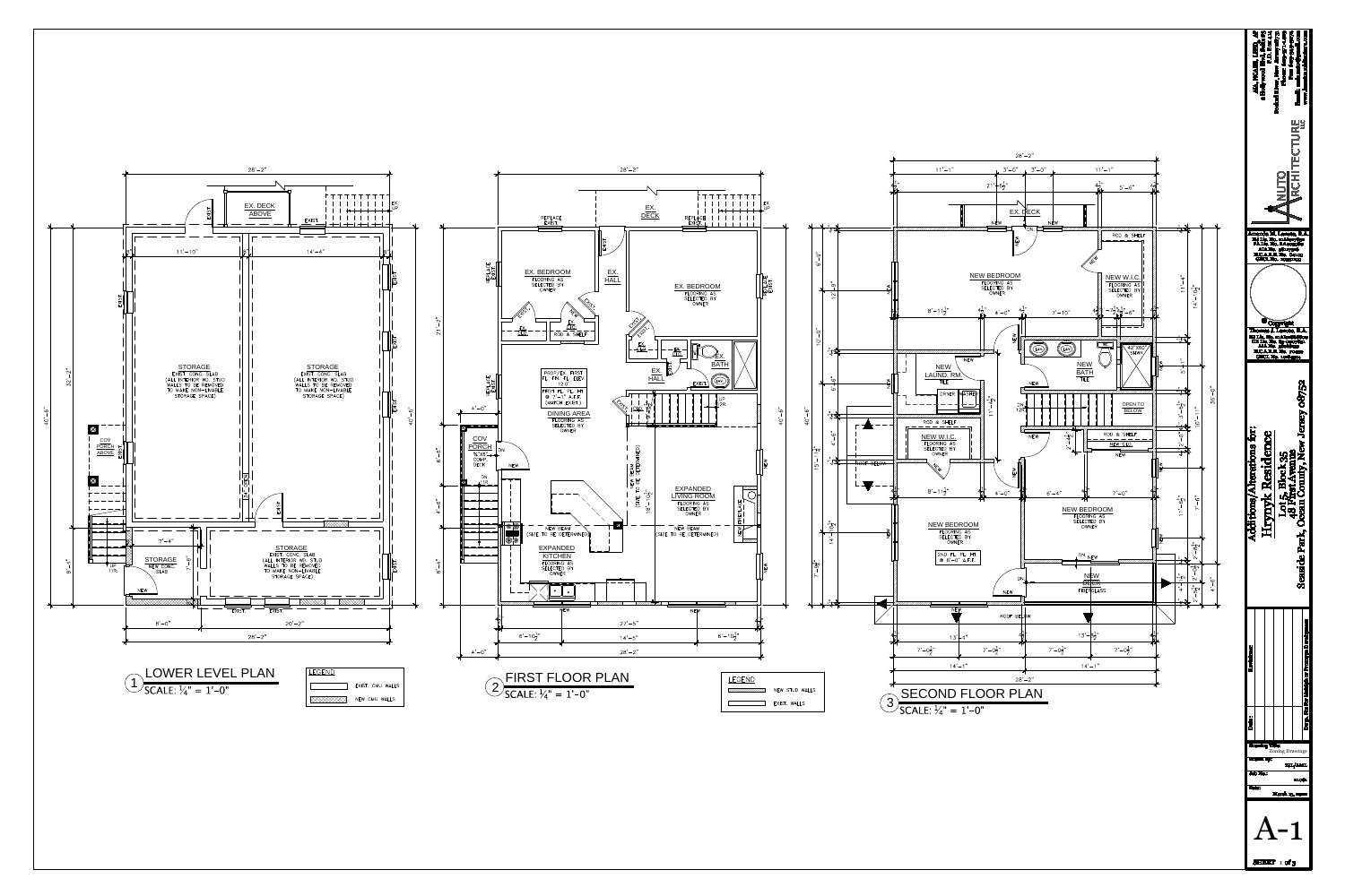

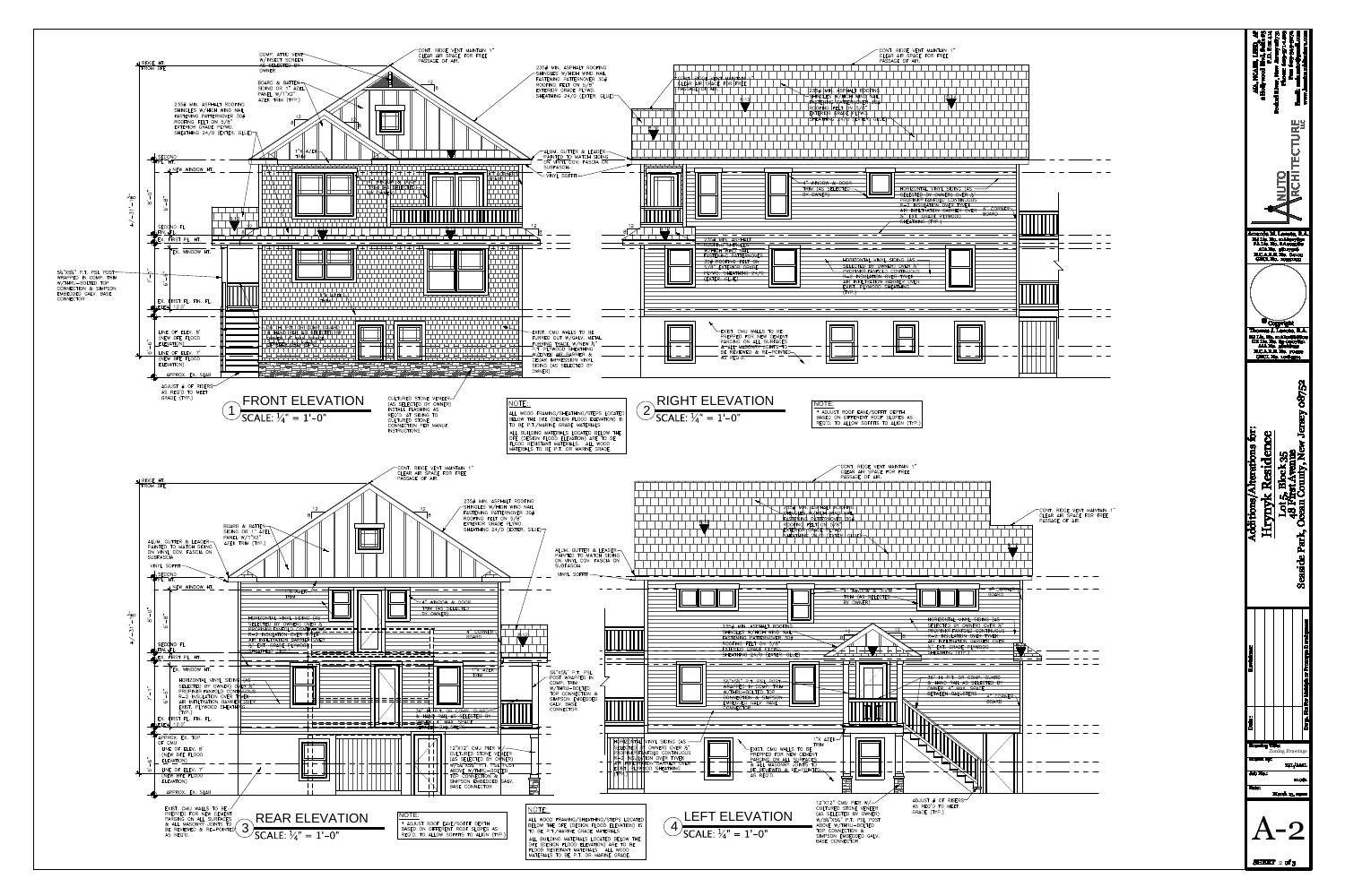